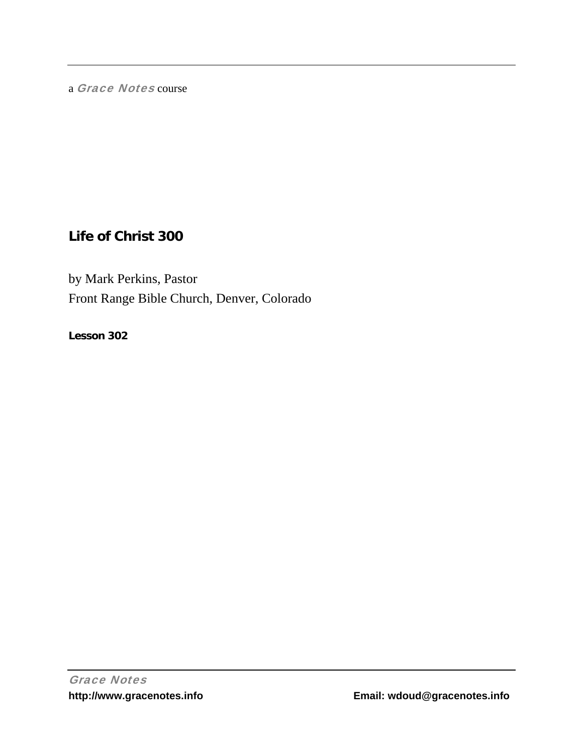a Grace Notes course

# **Life of Christ 300**

by Mark Perkins, Pastor Front Range Bible Church, Denver, Colorado

**Lesson 302**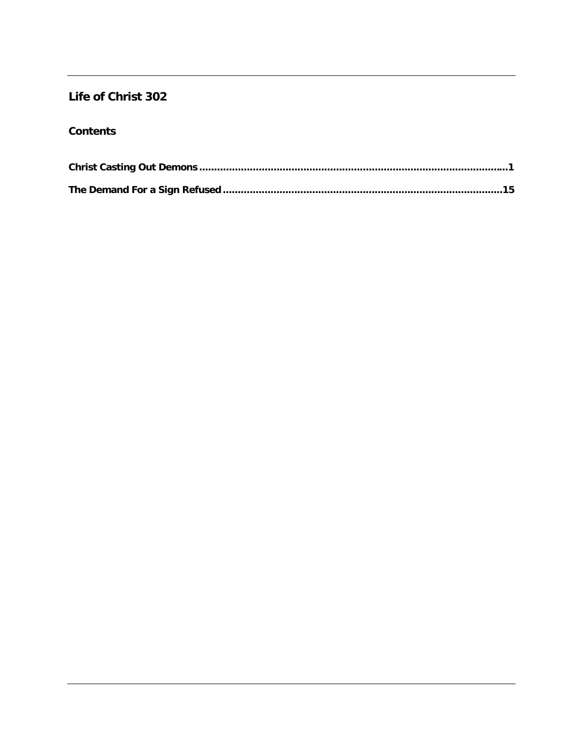## Life of Christ 302

## **Contents**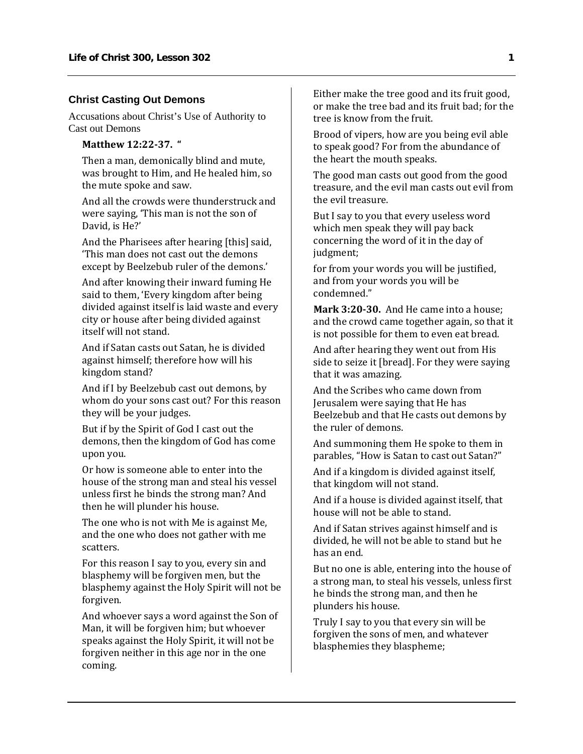## **Christ Casting Out Demons**

Accusations about Christ's Use of Authority to Cast out Demons

#### **Matthew 12:2237. "**

Then a man, demonically blind and mute, was brought to Him, and He healed him, so the mute spoke and saw.

And all the crowds were thunderstruck and were saying, 'This man is not the son of David, is He?'

And the Pharisees after hearing [this] said, 'This man does not cast out the demons except by Beelzebub ruler of the demons.'

And after knowing their inward fuming He said to them, 'Every kingdom after being divided against itself is laid waste and every city or house after being divided against itself will not stand.

And if Satan casts out Satan, he is divided against himself; therefore how will his kingdom stand?

And if I by Beelzebub cast out demons, by whom do your sons cast out? For this reason they will be your judges.

But if by the Spirit of God I cast out the demons, then the kingdom of God has come upon you.

Or how is someone able to enter into the house of the strong man and steal his vessel unless first he binds the strong man? And then he will plunder his house.

The one who is not with Me is against Me, and the one who does not gather with me scatters.

For this reason I say to you, every sin and blasphemy will be forgiven men, but the blasphemy against the Holy Spirit will not be forgiven.

And whoever says a word against the Son of Man, it will be forgiven him; but whoever speaks against the Holy Spirit, it will not be forgiven neither in this age nor in the one coming.

Either make the tree good and its fruit good, or make the tree bad and its fruit bad; for the tree is know from the fruit.

Brood of vipers, how are you being evil able to speak good? For from the abundance of the heart the mouth speaks.

The good man casts out good from the good treasure, and the evil man casts out evil from the evil treasure.

But I say to you that every useless word which men speak they will pay back concerning the word of it in the day of judgment;

for from your words you will be justified, and from your words you will be condemned."

**Mark 3:2030.** And He came into a house; and the crowd came together again, so that it is not possible for them to even eat bread.

And after hearing they went out from His side to seize it [bread]. For they were saying that it was amazing.

And the Scribes who came down from Jerusalem were saying that He has Beelzebub and that He casts out demons by the ruler of demons.

And summoning them He spoke to them in parables, "How is Satan to cast out Satan?"

And if a kingdom is divided against itself, that kingdom will not stand.

And if a house is divided against itself, that house will not be able to stand.

And if Satan strives against himself and is divided, he will not be able to stand but he has an end.

But no one is able, entering into the house of a strong man, to steal his vessels, unless first he binds the strong man, and then he plunders his house.

Truly I say to you that every sin will be forgiven the sons of men, and whatever blasphemies they blaspheme;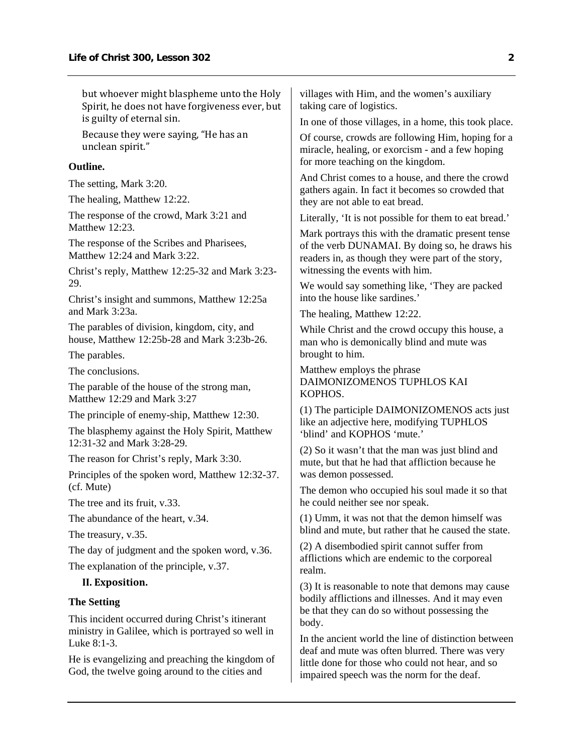but whoever might blaspheme unto the Holy Spirit, he does not have forgiveness ever, but is guilty of eternal sin.

Because they were saying, "He has an unclean spirit."

#### **Outline.**

The setting, Mark 3:20.

The healing, Matthew 12:22.

The response of the crowd, Mark 3:21 and Matthew 12:23

The response of the Scribes and Pharisees, Matthew 12:24 and Mark 3:22.

Christ's reply, Matthew 12:25-32 and Mark 3:23- 29.

Christ's insight and summons, Matthew 12:25a and Mark 3:23a.

The parables of division, kingdom, city, and house, Matthew 12:25b-28 and Mark 3:23b-26.

The parables.

The conclusions.

The parable of the house of the strong man, Matthew 12:29 and Mark 3:27

The principle of enemy-ship, Matthew 12:30.

The blasphemy against the Holy Spirit, Matthew 12:31-32 and Mark 3:28-29.

The reason for Christ's reply, Mark 3:30.

Principles of the spoken word, Matthew 12:32-37. (cf. Mute)

The tree and its fruit, v.33.

The abundance of the heart, v.34.

The treasury, v.35.

The day of judgment and the spoken word, v.36.

The explanation of the principle, v.37.

## **II. Exposition.**

#### **The Setting**

This incident occurred during Christ's itinerant ministry in Galilee, which is portrayed so well in Luke 8:1-3.

He is evangelizing and preaching the kingdom of God, the twelve going around to the cities and

villages with Him, and the women's auxiliary taking care of logistics.

In one of those villages, in a home, this took place.

Of course, crowds are following Him, hoping for a miracle, healing, or exorcism - and a few hoping for more teaching on the kingdom.

And Christ comes to a house, and there the crowd gathers again. In fact it becomes so crowded that they are not able to eat bread.

Literally, 'It is not possible for them to eat bread.'

Mark portrays this with the dramatic present tense of the verb DUNAMAI. By doing so, he draws his readers in, as though they were part of the story, witnessing the events with him.

We would say something like, 'They are packed into the house like sardines.'

The healing, Matthew 12:22.

While Christ and the crowd occupy this house, a man who is demonically blind and mute was brought to him.

Matthew employs the phrase DAIMONIZOMENOS TUPHLOS KAI KOPHOS.

(1) The participle DAIMONIZOMENOS acts just like an adjective here, modifying TUPHLOS 'blind' and KOPHOS 'mute.'

(2) So it wasn't that the man was just blind and mute, but that he had that affliction because he was demon possessed.

The demon who occupied his soul made it so that he could neither see nor speak.

(1) Umm, it was not that the demon himself was blind and mute, but rather that he caused the state.

(2) A disembodied spirit cannot suffer from afflictions which are endemic to the corporeal realm.

(3) It is reasonable to note that demons may cause bodily afflictions and illnesses. And it may even be that they can do so without possessing the body.

In the ancient world the line of distinction between deaf and mute was often blurred. There was very little done for those who could not hear, and so impaired speech was the norm for the deaf.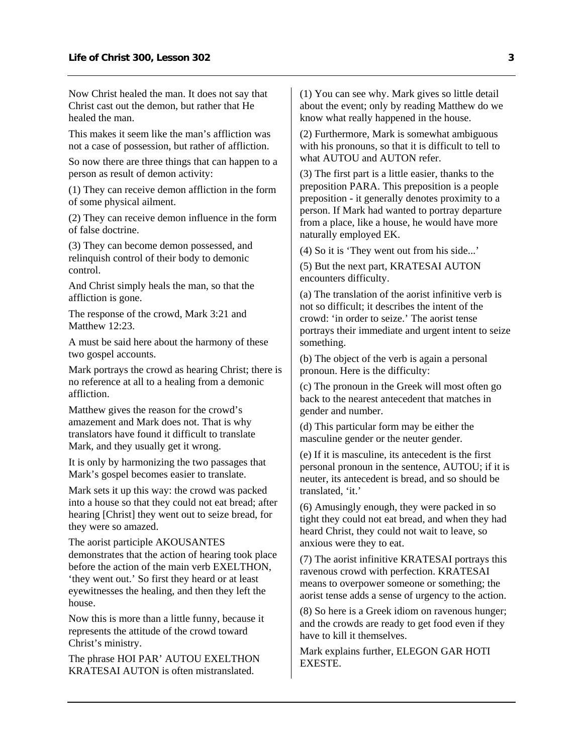Now Christ healed the man. It does not say that Christ cast out the demon, but rather that He healed the man.

This makes it seem like the man's affliction was not a case of possession, but rather of affliction.

So now there are three things that can happen to a person as result of demon activity:

(1) They can receive demon affliction in the form of some physical ailment.

(2) They can receive demon influence in the form of false doctrine.

(3) They can become demon possessed, and relinquish control of their body to demonic control.

And Christ simply heals the man, so that the affliction is gone.

The response of the crowd, Mark 3:21 and Matthew 12:23

A must be said here about the harmony of these two gospel accounts.

Mark portrays the crowd as hearing Christ; there is no reference at all to a healing from a demonic affliction.

Matthew gives the reason for the crowd's amazement and Mark does not. That is why translators have found it difficult to translate Mark, and they usually get it wrong.

It is only by harmonizing the two passages that Mark's gospel becomes easier to translate.

Mark sets it up this way: the crowd was packed into a house so that they could not eat bread; after hearing [Christ] they went out to seize bread, for they were so amazed.

The aorist participle AKOUSANTES demonstrates that the action of hearing took place before the action of the main verb EXELTHON, 'they went out.' So first they heard or at least eyewitnesses the healing, and then they left the house.

Now this is more than a little funny, because it represents the attitude of the crowd toward Christ's ministry.

The phrase HOI PAR' AUTOU EXELTHON KRATESAI AUTON is often mistranslated.

(1) You can see why. Mark gives so little detail about the event; only by reading Matthew do we know what really happened in the house.

(2) Furthermore, Mark is somewhat ambiguous with his pronouns, so that it is difficult to tell to what  $\widehat{AUTOU}$  and  $\widehat{AUTON}$  refer.

(3) The first part is a little easier, thanks to the preposition PARA. This preposition is a people preposition - it generally denotes proximity to a person. If Mark had wanted to portray departure from a place, like a house, he would have more naturally employed EK.

(4) So it is 'They went out from his side...'

(5) But the next part, KRATESAI AUTON encounters difficulty.

(a) The translation of the aorist infinitive verb is not so difficult; it describes the intent of the crowd: 'in order to seize.' The aorist tense portrays their immediate and urgent intent to seize something.

(b) The object of the verb is again a personal pronoun. Here is the difficulty:

(c) The pronoun in the Greek will most often go back to the nearest antecedent that matches in gender and number.

(d) This particular form may be either the masculine gender or the neuter gender.

(e) If it is masculine, its antecedent is the first personal pronoun in the sentence, AUTOU; if it is neuter, its antecedent is bread, and so should be translated, 'it.'

(6) Amusingly enough, they were packed in so tight they could not eat bread, and when they had heard Christ, they could not wait to leave, so anxious were they to eat.

(7) The aorist infinitive KRATESAI portrays this ravenous crowd with perfection. KRATESAI means to overpower someone or something; the aorist tense adds a sense of urgency to the action.

(8) So here is a Greek idiom on ravenous hunger; and the crowds are ready to get food even if they have to kill it themselves.

Mark explains further, ELEGON GAR HOTI EXESTE.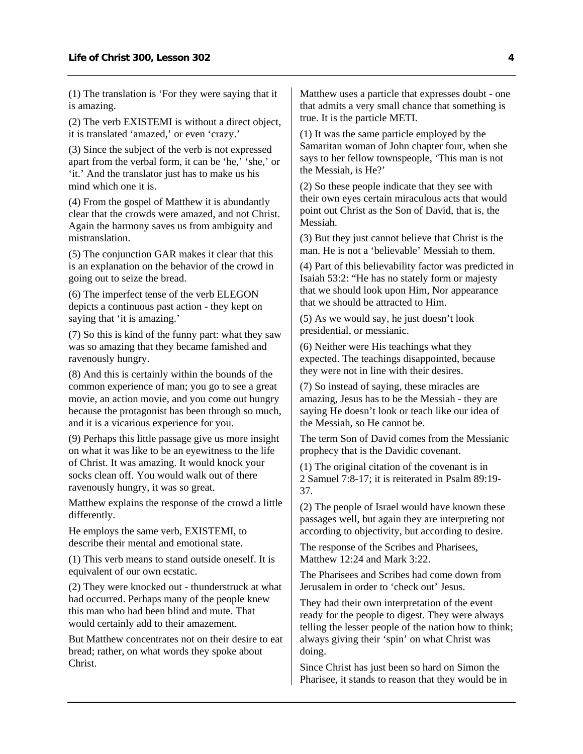(1) The translation is 'For they were saying that it is amazing.

(2) The verb EXISTEMI is without a direct object, it is translated 'amazed,' or even 'crazy.'

(3) Since the subject of the verb is not expressed apart from the verbal form, it can be 'he,' 'she,' or 'it.' And the translator just has to make us his mind which one it is.

(4) From the gospel of Matthew it is abundantly clear that the crowds were amazed, and not Christ. Again the harmony saves us from ambiguity and mistranslation.

(5) The conjunction GAR makes it clear that this is an explanation on the behavior of the crowd in going out to seize the bread.

(6) The imperfect tense of the verb ELEGON depicts a continuous past action - they kept on saying that 'it is amazing.'

(7) So this is kind of the funny part: what they saw was so amazing that they became famished and ravenously hungry.

(8) And this is certainly within the bounds of the common experience of man; you go to see a great movie, an action movie, and you come out hungry because the protagonist has been through so much, and it is a vicarious experience for you.

(9) Perhaps this little passage give us more insight on what it was like to be an eyewitness to the life of Christ. It was amazing. It would knock your socks clean off. You would walk out of there ravenously hungry, it was so great.

Matthew explains the response of the crowd a little differently.

He employs the same verb, EXISTEMI, to describe their mental and emotional state.

(1) This verb means to stand outside oneself. It is equivalent of our own ecstatic.

(2) They were knocked out - thunderstruck at what had occurred. Perhaps many of the people knew this man who had been blind and mute. That would certainly add to their amazement.

But Matthew concentrates not on their desire to eat bread; rather, on what words they spoke about Christ.

Matthew uses a particle that expresses doubt - one that admits a very small chance that something is true. It is the particle METI.

(1) It was the same particle employed by the Samaritan woman of John chapter four, when she says to her fellow townspeople, 'This man is not the Messiah, is He?'

(2) So these people indicate that they see with their own eyes certain miraculous acts that would point out Christ as the Son of David, that is, the Messiah.

(3) But they just cannot believe that Christ is the man. He is not a 'believable' Messiah to them.

(4) Part of this believability factor was predicted in Isaiah 53:2: "He has no stately form or majesty that we should look upon Him, Nor appearance that we should be attracted to Him.

(5) As we would say, he just doesn't look presidential, or messianic.

(6) Neither were His teachings what they expected. The teachings disappointed, because they were not in line with their desires.

(7) So instead of saying, these miracles are amazing, Jesus has to be the Messiah - they are saying He doesn't look or teach like our idea of the Messiah, so He cannot be.

The term Son of David comes from the Messianic prophecy that is the Davidic covenant.

(1) The original citation of the covenant is in 2 Samuel 7:8-17; it is reiterated in Psalm 89:19- 37.

(2) The people of Israel would have known these passages well, but again they are interpreting not according to objectivity, but according to desire.

The response of the Scribes and Pharisees, Matthew 12:24 and Mark 3:22.

The Pharisees and Scribes had come down from Jerusalem in order to 'check out' Jesus.

They had their own interpretation of the event ready for the people to digest. They were always telling the lesser people of the nation how to think; always giving their 'spin' on what Christ was doing.

Since Christ has just been so hard on Simon the Pharisee, it stands to reason that they would be in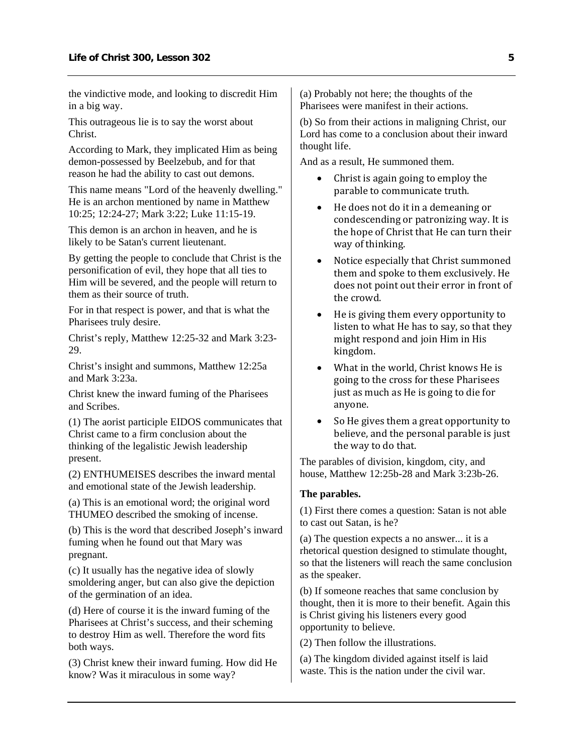the vindictive mode, and looking to discredit Him in a big way.

This outrageous lie is to say the worst about Christ.

According to Mark, they implicated Him as being demon-possessed by Beelzebub, and for that reason he had the ability to cast out demons.

This name means "Lord of the heavenly dwelling." He is an archon mentioned by name in Matthew 10:25; 12:24-27; Mark 3:22; Luke 11:15-19.

This demon is an archon in heaven, and he is likely to be Satan's current lieutenant.

By getting the people to conclude that Christ is the personification of evil, they hope that all ties to Him will be severed, and the people will return to them as their source of truth.

For in that respect is power, and that is what the Pharisees truly desire.

Christ's reply, Matthew 12:25-32 and Mark 3:23- 29.

Christ's insight and summons, Matthew 12:25a and Mark 3:23a.

Christ knew the inward fuming of the Pharisees and Scribes.

(1) The aorist participle EIDOS communicates that Christ came to a firm conclusion about the thinking of the legalistic Jewish leadership present.

(2) ENTHUMEISES describes the inward mental and emotional state of the Jewish leadership.

(a) This is an emotional word; the original word THUMEO described the smoking of incense.

(b) This is the word that described Joseph's inward fuming when he found out that Mary was pregnant.

(c) It usually has the negative idea of slowly smoldering anger, but can also give the depiction of the germination of an idea.

(d) Here of course it is the inward fuming of the Pharisees at Christ's success, and their scheming to destroy Him as well. Therefore the word fits both ways.

(3) Christ knew their inward fuming. How did He know? Was it miraculous in some way?

(a) Probably not here; the thoughts of the Pharisees were manifest in their actions.

(b) So from their actions in maligning Christ, our Lord has come to a conclusion about their inward thought life.

And as a result, He summoned them.

- Christ is again going to employ the parable to communicate truth.
- He does not do it in a demeaning or condescending or patronizing way. It is the hope of Christ that He can turn their way of thinking.
- Notice especially that Christ summoned them and spoke to them exclusively. He does not point out their error in front of the crowd.
- He is giving them every opportunity to listen to what He has to say, so that they might respond and join Him in His kingdom.
- What in the world, Christ knows He is going to the cross for these Pharisees just as much as He is going to die for anyone.
- So He gives them a great opportunity to believe, and the personal parable is just the way to do that.

The parables of division, kingdom, city, and house, Matthew 12:25b-28 and Mark 3:23b-26.

#### **The parables.**

(1) First there comes a question: Satan is not able to cast out Satan, is he?

(a) The question expects a no answer... it is a rhetorical question designed to stimulate thought, so that the listeners will reach the same conclusion as the speaker.

(b) If someone reaches that same conclusion by thought, then it is more to their benefit. Again this is Christ giving his listeners every good opportunity to believe.

(2) Then follow the illustrations.

(a) The kingdom divided against itself is laid waste. This is the nation under the civil war.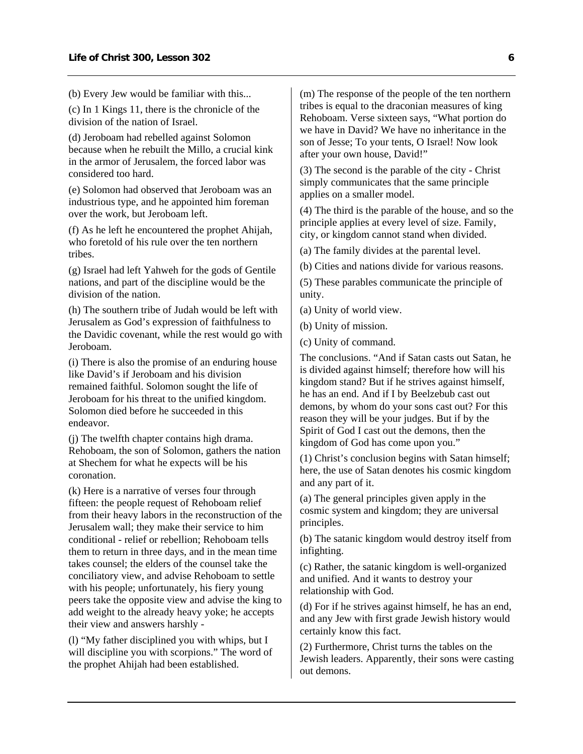(b) Every Jew would be familiar with this...

(c) In 1 Kings 11, there is the chronicle of the division of the nation of Israel.

(d) Jeroboam had rebelled against Solomon because when he rebuilt the Millo, a crucial kink in the armor of Jerusalem, the forced labor was considered too hard.

(e) Solomon had observed that Jeroboam was an industrious type, and he appointed him foreman over the work, but Jeroboam left.

(f) As he left he encountered the prophet Ahijah, who foretold of his rule over the ten northern tribes.

(g) Israel had left Yahweh for the gods of Gentile nations, and part of the discipline would be the division of the nation.

(h) The southern tribe of Judah would be left with Jerusalem as God's expression of faithfulness to the Davidic covenant, while the rest would go with Jeroboam.

(i) There is also the promise of an enduring house like David's if Jeroboam and his division remained faithful. Solomon sought the life of Jeroboam for his threat to the unified kingdom. Solomon died before he succeeded in this endeavor.

(j) The twelfth chapter contains high drama. Rehoboam, the son of Solomon, gathers the nation at Shechem for what he expects will be his coronation.

(k) Here is a narrative of verses four through fifteen: the people request of Rehoboam relief from their heavy labors in the reconstruction of the Jerusalem wall; they make their service to him conditional - relief or rebellion; Rehoboam tells them to return in three days, and in the mean time takes counsel; the elders of the counsel take the conciliatory view, and advise Rehoboam to settle with his people; unfortunately, his fiery young peers take the opposite view and advise the king to add weight to the already heavy yoke; he accepts their view and answers harshly -

(l) "My father disciplined you with whips, but I will discipline you with scorpions." The word of the prophet Ahijah had been established.

(m) The response of the people of the ten northern tribes is equal to the draconian measures of king Rehoboam. Verse sixteen says, "What portion do we have in David? We have no inheritance in the son of Jesse; To your tents, O Israel! Now look after your own house, David!"

(3) The second is the parable of the city - Christ simply communicates that the same principle applies on a smaller model.

(4) The third is the parable of the house, and so the principle applies at every level of size. Family, city, or kingdom cannot stand when divided.

(a) The family divides at the parental level.

(b) Cities and nations divide for various reasons.

(5) These parables communicate the principle of unity.

(a) Unity of world view.

(b) Unity of mission.

(c) Unity of command.

The conclusions. "And if Satan casts out Satan, he is divided against himself; therefore how will his kingdom stand? But if he strives against himself, he has an end. And if I by Beelzebub cast out demons, by whom do your sons cast out? For this reason they will be your judges. But if by the Spirit of God I cast out the demons, then the kingdom of God has come upon you."

(1) Christ's conclusion begins with Satan himself; here, the use of Satan denotes his cosmic kingdom and any part of it.

(a) The general principles given apply in the cosmic system and kingdom; they are universal principles.

(b) The satanic kingdom would destroy itself from infighting.

(c) Rather, the satanic kingdom is well-organized and unified. And it wants to destroy your relationship with God.

(d) For if he strives against himself, he has an end, and any Jew with first grade Jewish history would certainly know this fact.

(2) Furthermore, Christ turns the tables on the Jewish leaders. Apparently, their sons were casting out demons.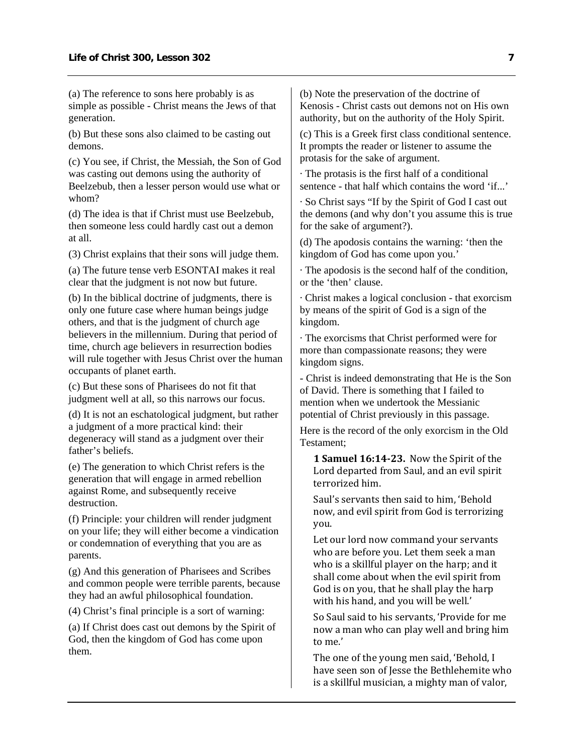(a) The reference to sons here probably is as simple as possible - Christ means the Jews of that generation.

(b) But these sons also claimed to be casting out demons.

(c) You see, if Christ, the Messiah, the Son of God was casting out demons using the authority of Beelzebub, then a lesser person would use what or whom?

(d) The idea is that if Christ must use Beelzebub, then someone less could hardly cast out a demon at all.

(3) Christ explains that their sons will judge them.

(a) The future tense verb ESONTAI makes it real clear that the judgment is not now but future.

(b) In the biblical doctrine of judgments, there is only one future case where human beings judge others, and that is the judgment of church age believers in the millennium. During that period of time, church age believers in resurrection bodies will rule together with Jesus Christ over the human occupants of planet earth.

(c) But these sons of Pharisees do not fit that judgment well at all, so this narrows our focus.

(d) It is not an eschatological judgment, but rather a judgment of a more practical kind: their degeneracy will stand as a judgment over their father's beliefs.

(e) The generation to which Christ refers is the generation that will engage in armed rebellion against Rome, and subsequently receive destruction.

(f) Principle: your children will render judgment on your life; they will either become a vindication or condemnation of everything that you are as parents.

(g) And this generation of Pharisees and Scribes and common people were terrible parents, because they had an awful philosophical foundation.

(4) Christ's final principle is a sort of warning:

(a) If Christ does cast out demons by the Spirit of God, then the kingdom of God has come upon them.

(b) Note the preservation of the doctrine of Kenosis - Christ casts out demons not on His own authority, but on the authority of the Holy Spirit.

(c) This is a Greek first class conditional sentence. It prompts the reader or listener to assume the protasis for the sake of argument.

· The protasis is the first half of a conditional sentence - that half which contains the word 'if...'

· So Christ says "If by the Spirit of God I cast out the demons (and why don't you assume this is true for the sake of argument?).

(d) The apodosis contains the warning: 'then the kingdom of God has come upon you.'

· The apodosis is the second half of the condition, or the 'then' clause.

· Christ makes a logical conclusion - that exorcism by means of the spirit of God is a sign of the kingdom.

· The exorcisms that Christ performed were for more than compassionate reasons; they were kingdom signs.

- Christ is indeed demonstrating that He is the Son of David. There is something that I failed to mention when we undertook the Messianic potential of Christ previously in this passage.

Here is the record of the only exorcism in the Old Testament;

**1 Samuel 16:1423.** Now the Spirit of the Lord departed from Saul, and an evil spirit terrorized him.

Saul's servants then said to him, 'Behold now, and evil spirit from God is terrorizing you.

Let our lord now command your servants who are before you. Let them seek a man who is a skillful player on the harp; and it shall come about when the evil spirit from God is on you, that he shall play the harp with his hand, and you will be well.'

So Saul said to his servants, 'Provide for me now a man who can play well and bring him to me.'

The one of the young men said, 'Behold, I have seen son of Jesse the Bethlehemite who is a skillful musician, a mighty man of valor,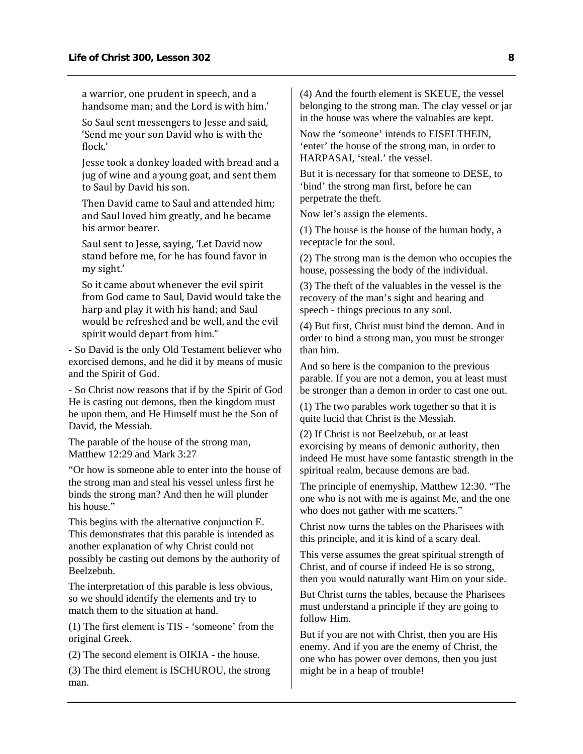a warrior, one prudent in speech, and a handsome man; and the Lord is with him.'

So Saul sent messengers to Jesse and said, 'Send me your son David who is with the flock.'

Jesse took a donkey loaded with bread and a jug of wine and a young goat, and sent them to Saul by David his son.

Then David came to Saul and attended him; and Saul loved him greatly, and he became his armor bearer.

Saul sent to Jesse, saying, 'Let David now stand before me, for he has found favor in my sight.'

So it came about whenever the evil spirit from God came to Saul, David would take the harp and play it with his hand; and Saul would be refreshed and be well, and the evil spirit would depart from him."

- So David is the only Old Testament believer who exorcised demons, and he did it by means of music and the Spirit of God.

- So Christ now reasons that if by the Spirit of God He is casting out demons, then the kingdom must be upon them, and He Himself must be the Son of David, the Messiah.

The parable of the house of the strong man, Matthew 12:29 and Mark 3:27

"Or how is someone able to enter into the house of the strong man and steal his vessel unless first he binds the strong man? And then he will plunder his house."

This begins with the alternative conjunction E. This demonstrates that this parable is intended as another explanation of why Christ could not possibly be casting out demons by the authority of Beelzebub.

The interpretation of this parable is less obvious, so we should identify the elements and try to match them to the situation at hand.

(1) The first element is TIS - 'someone' from the original Greek.

(2) The second element is OIKIA - the house.

(3) The third element is ISCHUROU, the strong man.

(4) And the fourth element is SKEUE, the vessel belonging to the strong man. The clay vessel or jar in the house was where the valuables are kept.

Now the 'someone' intends to EISELTHEIN, 'enter' the house of the strong man, in order to HARPASAI, 'steal.' the vessel.

But it is necessary for that someone to DESE, to 'bind' the strong man first, before he can perpetrate the theft.

Now let's assign the elements.

(1) The house is the house of the human body, a receptacle for the soul.

(2) The strong man is the demon who occupies the house, possessing the body of the individual.

(3) The theft of the valuables in the vessel is the recovery of the man's sight and hearing and speech - things precious to any soul.

(4) But first, Christ must bind the demon. And in order to bind a strong man, you must be stronger than him.

And so here is the companion to the previous parable. If you are not a demon, you at least must be stronger than a demon in order to cast one out.

(1) The two parables work together so that it is quite lucid that Christ is the Messiah.

(2) If Christ is not Beelzebub, or at least exorcising by means of demonic authority, then indeed He must have some fantastic strength in the spiritual realm, because demons are bad.

The principle of enemyship, Matthew 12:30. "The one who is not with me is against Me, and the one who does not gather with me scatters."

Christ now turns the tables on the Pharisees with this principle, and it is kind of a scary deal.

This verse assumes the great spiritual strength of Christ, and of course if indeed He is so strong, then you would naturally want Him on your side.

But Christ turns the tables, because the Pharisees must understand a principle if they are going to follow Him.

But if you are not with Christ, then you are His enemy. And if you are the enemy of Christ, the one who has power over demons, then you just might be in a heap of trouble!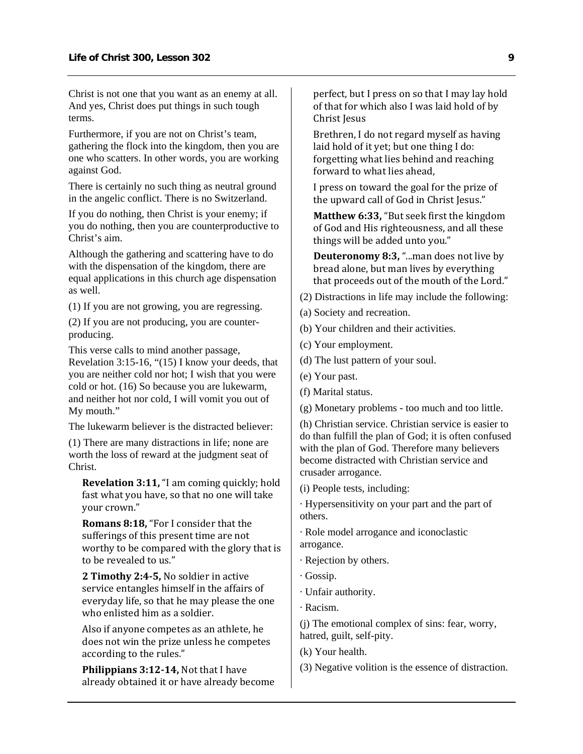Christ is not one that you want as an enemy at all. And yes, Christ does put things in such tough terms.

Furthermore, if you are not on Christ's team, gathering the flock into the kingdom, then you are one who scatters. In other words, you are working against God.

There is certainly no such thing as neutral ground in the angelic conflict. There is no Switzerland.

If you do nothing, then Christ is your enemy; if you do nothing, then you are counterproductive to Christ's aim.

Although the gathering and scattering have to do with the dispensation of the kingdom, there are equal applications in this church age dispensation as well.

(1) If you are not growing, you are regressing.

(2) If you are not producing, you are counterproducing.

This verse calls to mind another passage, Revelation 3:15-16, "(15) I know your deeds, that you are neither cold nor hot; I wish that you were cold or hot. (16) So because you are lukewarm, and neither hot nor cold, I will vomit you out of My mouth."

The lukewarm believer is the distracted believer:

(1) There are many distractions in life; none are worth the loss of reward at the judgment seat of Christ.

**Revelation 3:11,** "I am coming quickly; hold fast what you have, so that no one will take your crown."

**Romans 8:18,** "For I consider that the sufferings of this present time are not worthy to be compared with the glory that is to be revealed to us."

**2 Timothy 2:45,** No soldier in active service entangles himself in the affairs of everyday life, so that he may please the one who enlisted him as a soldier.

Also if anyone competes as an athlete, he does not win the prize unless he competes according to the rules."

**Philippians 3:1214,** Not that I have already obtained it or have already become perfect, but I press on so that I may lay hold of that for which also I was laid hold of by Christ Jesus

Brethren, I do not regard myself as having laid hold of it yet; but one thing I do: forgetting what lies behind and reaching forward to what lies ahead,

I press on toward the goal for the prize of the upward call of God in Christ Jesus."

**Matthew 6:33,** "But seek first the kingdom of God and His righteousness, and all these things will be added unto you."

**Deuteronomy 8:3,** "...man does not live by bread alone, but man lives by everything that proceeds out of the mouth of the Lord."

- (2) Distractions in life may include the following:
- (a) Society and recreation.
- (b) Your children and their activities.
- (c) Your employment.
- (d) The lust pattern of your soul.
- (e) Your past.
- (f) Marital status.

(g) Monetary problems - too much and too little.

(h) Christian service. Christian service is easier to do than fulfill the plan of God; it is often confused with the plan of God. Therefore many believers become distracted with Christian service and crusader arrogance.

(i) People tests, including:

· Hypersensitivity on your part and the part of others.

· Role model arrogance and iconoclastic arrogance.

- · Rejection by others.
- · Gossip.
- · Unfair authority.
- · Racism.

(j) The emotional complex of sins: fear, worry, hatred, guilt, self-pity.

- (k) Your health.
- (3) Negative volition is the essence of distraction.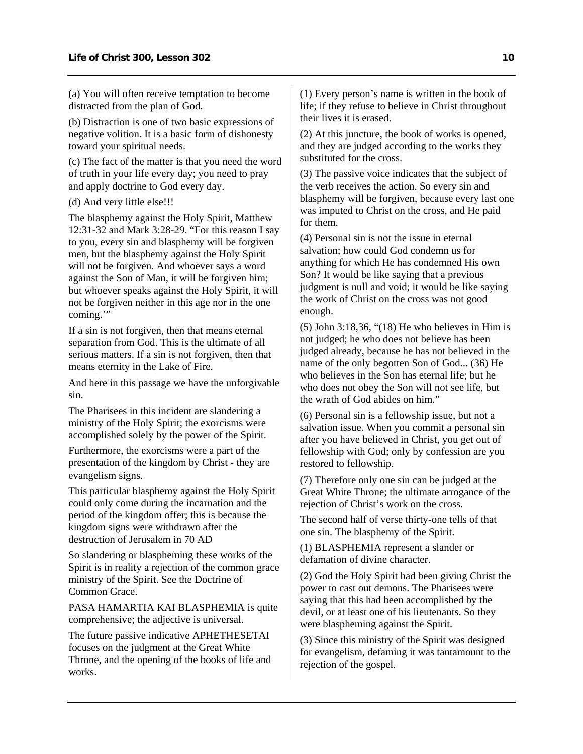(a) You will often receive temptation to become distracted from the plan of God.

(b) Distraction is one of two basic expressions of negative volition. It is a basic form of dishonesty toward your spiritual needs.

(c) The fact of the matter is that you need the word of truth in your life every day; you need to pray and apply doctrine to God every day.

#### (d) And very little else!!!

The blasphemy against the Holy Spirit, Matthew 12:31-32 and Mark 3:28-29. "For this reason I say to you, every sin and blasphemy will be forgiven men, but the blasphemy against the Holy Spirit will not be forgiven. And whoever says a word against the Son of Man, it will be forgiven him; but whoever speaks against the Holy Spirit, it will not be forgiven neither in this age nor in the one coming."

If a sin is not forgiven, then that means eternal separation from God. This is the ultimate of all serious matters. If a sin is not forgiven, then that means eternity in the Lake of Fire.

And here in this passage we have the unforgivable sin.

The Pharisees in this incident are slandering a ministry of the Holy Spirit; the exorcisms were accomplished solely by the power of the Spirit.

Furthermore, the exorcisms were a part of the presentation of the kingdom by Christ - they are evangelism signs.

This particular blasphemy against the Holy Spirit could only come during the incarnation and the period of the kingdom offer; this is because the kingdom signs were withdrawn after the destruction of Jerusalem in 70 AD

So slandering or blaspheming these works of the Spirit is in reality a rejection of the common grace ministry of the Spirit. See the Doctrine of Common Grace.

PASA HAMARTIA KAI BLASPHEMIA is quite comprehensive; the adjective is universal.

The future passive indicative APHETHESETAI focuses on the judgment at the Great White Throne, and the opening of the books of life and works.

(1) Every person's name is written in the book of life; if they refuse to believe in Christ throughout their lives it is erased.

(2) At this juncture, the book of works is opened, and they are judged according to the works they substituted for the cross.

(3) The passive voice indicates that the subject of the verb receives the action. So every sin and blasphemy will be forgiven, because every last one was imputed to Christ on the cross, and He paid for them.

(4) Personal sin is not the issue in eternal salvation; how could God condemn us for anything for which He has condemned His own Son? It would be like saying that a previous judgment is null and void; it would be like saying the work of Christ on the cross was not good enough.

(5) John 3:18,36, "(18) He who believes in Him is not judged; he who does not believe has been judged already, because he has not believed in the name of the only begotten Son of God... (36) He who believes in the Son has eternal life; but he who does not obey the Son will not see life, but the wrath of God abides on him."

(6) Personal sin is a fellowship issue, but not a salvation issue. When you commit a personal sin after you have believed in Christ, you get out of fellowship with God; only by confession are you restored to fellowship.

(7) Therefore only one sin can be judged at the Great White Throne; the ultimate arrogance of the rejection of Christ's work on the cross.

The second half of verse thirty-one tells of that one sin. The blasphemy of the Spirit.

(1) BLASPHEMIA represent a slander or defamation of divine character.

(2) God the Holy Spirit had been giving Christ the power to cast out demons. The Pharisees were saying that this had been accomplished by the devil, or at least one of his lieutenants. So they were blaspheming against the Spirit.

(3) Since this ministry of the Spirit was designed for evangelism, defaming it was tantamount to the rejection of the gospel.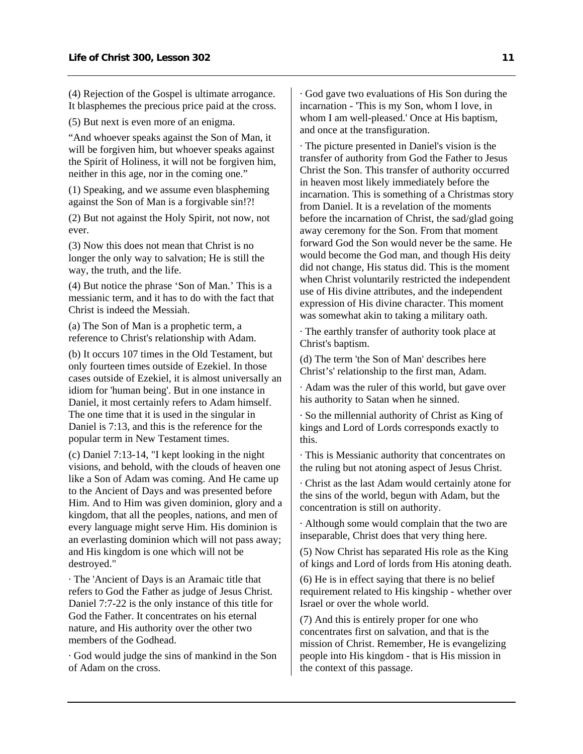(4) Rejection of the Gospel is ultimate arrogance. It blasphemes the precious price paid at the cross.

(5) But next is even more of an enigma.

"And whoever speaks against the Son of Man, it will be forgiven him, but whoever speaks against the Spirit of Holiness, it will not be forgiven him, neither in this age, nor in the coming one."

(1) Speaking, and we assume even blaspheming against the Son of Man is a forgivable sin!?!

(2) But not against the Holy Spirit, not now, not ever.

(3) Now this does not mean that Christ is no longer the only way to salvation; He is still the way, the truth, and the life.

(4) But notice the phrase 'Son of Man.' This is a messianic term, and it has to do with the fact that Christ is indeed the Messiah.

(a) The Son of Man is a prophetic term, a reference to Christ's relationship with Adam.

(b) It occurs 107 times in the Old Testament, but only fourteen times outside of Ezekiel. In those cases outside of Ezekiel, it is almost universally an idiom for 'human being'. But in one instance in Daniel, it most certainly refers to Adam himself. The one time that it is used in the singular in Daniel is 7:13, and this is the reference for the popular term in New Testament times.

(c) Daniel 7:13-14, "I kept looking in the night visions, and behold, with the clouds of heaven one like a Son of Adam was coming. And He came up to the Ancient of Days and was presented before Him. And to Him was given dominion, glory and a kingdom, that all the peoples, nations, and men of every language might serve Him. His dominion is an everlasting dominion which will not pass away; and His kingdom is one which will not be destroyed."

· The 'Ancient of Days is an Aramaic title that refers to God the Father as judge of Jesus Christ. Daniel 7:7-22 is the only instance of this title for God the Father. It concentrates on his eternal nature, and His authority over the other two members of the Godhead.

· God would judge the sins of mankind in the Son of Adam on the cross.

· God gave two evaluations of His Son during the incarnation - 'This is my Son, whom I love, in whom I am well-pleased.' Once at His baptism, and once at the transfiguration.

· The picture presented in Daniel's vision is the transfer of authority from God the Father to Jesus Christ the Son. This transfer of authority occurred in heaven most likely immediately before the incarnation. This is something of a Christmas story from Daniel. It is a revelation of the moments before the incarnation of Christ, the sad/glad going away ceremony for the Son. From that moment forward God the Son would never be the same. He would become the God man, and though His deity did not change, His status did. This is the moment when Christ voluntarily restricted the independent use of His divine attributes, and the independent expression of His divine character. This moment was somewhat akin to taking a military oath.

· The earthly transfer of authority took place at Christ's baptism.

(d) The term 'the Son of Man' describes here Christ's' relationship to the first man, Adam.

· Adam was the ruler of this world, but gave over his authority to Satan when he sinned.

· So the millennial authority of Christ as King of kings and Lord of Lords corresponds exactly to this.

· This is Messianic authority that concentrates on the ruling but not atoning aspect of Jesus Christ.

· Christ as the last Adam would certainly atone for the sins of the world, begun with Adam, but the concentration is still on authority.

· Although some would complain that the two are inseparable, Christ does that very thing here.

(5) Now Christ has separated His role as the King of kings and Lord of lords from His atoning death.

(6) He is in effect saying that there is no belief requirement related to His kingship - whether over Israel or over the whole world.

(7) And this is entirely proper for one who concentrates first on salvation, and that is the mission of Christ. Remember, He is evangelizing people into His kingdom - that is His mission in the context of this passage.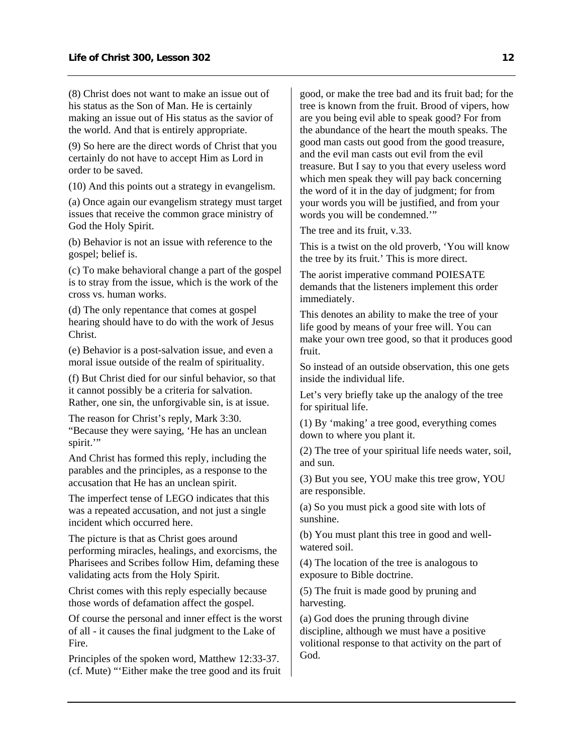(8) Christ does not want to make an issue out of his status as the Son of Man. He is certainly making an issue out of His status as the savior of the world. And that is entirely appropriate.

(9) So here are the direct words of Christ that you certainly do not have to accept Him as Lord in order to be saved.

(10) And this points out a strategy in evangelism.

(a) Once again our evangelism strategy must target issues that receive the common grace ministry of God the Holy Spirit.

(b) Behavior is not an issue with reference to the gospel; belief is.

(c) To make behavioral change a part of the gospel is to stray from the issue, which is the work of the cross vs. human works.

(d) The only repentance that comes at gospel hearing should have to do with the work of Jesus Christ.

(e) Behavior is a post-salvation issue, and even a moral issue outside of the realm of spirituality.

(f) But Christ died for our sinful behavior, so that it cannot possibly be a criteria for salvation. Rather, one sin, the unforgivable sin, is at issue.

The reason for Christ's reply, Mark 3:30. "Because they were saying, 'He has an unclean spirit."

And Christ has formed this reply, including the parables and the principles, as a response to the accusation that He has an unclean spirit.

The imperfect tense of LEGO indicates that this was a repeated accusation, and not just a single incident which occurred here.

The picture is that as Christ goes around performing miracles, healings, and exorcisms, the Pharisees and Scribes follow Him, defaming these validating acts from the Holy Spirit.

Christ comes with this reply especially because those words of defamation affect the gospel.

Of course the personal and inner effect is the worst of all - it causes the final judgment to the Lake of Fire.

Principles of the spoken word, Matthew 12:33-37. (cf. Mute) "'Either make the tree good and its fruit good, or make the tree bad and its fruit bad; for the tree is known from the fruit. Brood of vipers, how are you being evil able to speak good? For from the abundance of the heart the mouth speaks. The good man casts out good from the good treasure, and the evil man casts out evil from the evil treasure. But I say to you that every useless word which men speak they will pay back concerning the word of it in the day of judgment; for from your words you will be justified, and from your words you will be condemned.'"

The tree and its fruit, v.33.

This is a twist on the old proverb, 'You will know the tree by its fruit.' This is more direct.

The aorist imperative command POIESATE demands that the listeners implement this order immediately.

This denotes an ability to make the tree of your life good by means of your free will. You can make your own tree good, so that it produces good fruit.

So instead of an outside observation, this one gets inside the individual life.

Let's very briefly take up the analogy of the tree for spiritual life.

(1) By 'making' a tree good, everything comes down to where you plant it.

(2) The tree of your spiritual life needs water, soil, and sun.

(3) But you see, YOU make this tree grow, YOU are responsible.

(a) So you must pick a good site with lots of sunshine.

(b) You must plant this tree in good and wellwatered soil.

(4) The location of the tree is analogous to exposure to Bible doctrine.

(5) The fruit is made good by pruning and harvesting.

(a) God does the pruning through divine discipline, although we must have a positive volitional response to that activity on the part of God.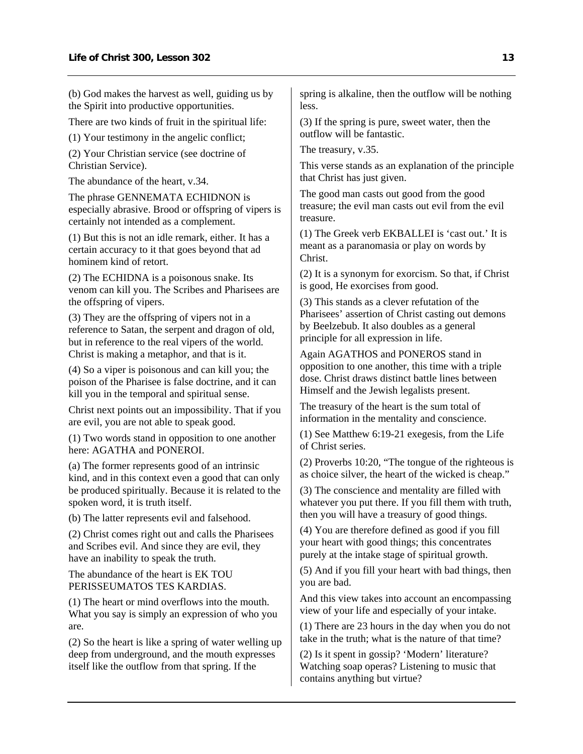(b) God makes the harvest as well, guiding us by the Spirit into productive opportunities.

There are two kinds of fruit in the spiritual life:

(1) Your testimony in the angelic conflict;

(2) Your Christian service (see doctrine of Christian Service).

The abundance of the heart, v.34.

The phrase GENNEMATA ECHIDNON is especially abrasive. Brood or offspring of vipers is certainly not intended as a complement.

(1) But this is not an idle remark, either. It has a certain accuracy to it that goes beyond that ad hominem kind of retort.

(2) The ECHIDNA is a poisonous snake. Its venom can kill you. The Scribes and Pharisees are the offspring of vipers.

(3) They are the offspring of vipers not in a reference to Satan, the serpent and dragon of old, but in reference to the real vipers of the world. Christ is making a metaphor, and that is it.

(4) So a viper is poisonous and can kill you; the poison of the Pharisee is false doctrine, and it can kill you in the temporal and spiritual sense.

Christ next points out an impossibility. That if you are evil, you are not able to speak good.

(1) Two words stand in opposition to one another here: AGATHA and PONEROI.

(a) The former represents good of an intrinsic kind, and in this context even a good that can only be produced spiritually. Because it is related to the spoken word, it is truth itself.

(b) The latter represents evil and falsehood.

(2) Christ comes right out and calls the Pharisees and Scribes evil. And since they are evil, they have an inability to speak the truth.

The abundance of the heart is EK TOU PERISSEUMATOS TES KARDIAS.

(1) The heart or mind overflows into the mouth. What you say is simply an expression of who you are.

(2) So the heart is like a spring of water welling up deep from underground, and the mouth expresses itself like the outflow from that spring. If the

spring is alkaline, then the outflow will be nothing less.

(3) If the spring is pure, sweet water, then the outflow will be fantastic.

The treasury, v.35.

This verse stands as an explanation of the principle that Christ has just given.

The good man casts out good from the good treasure; the evil man casts out evil from the evil treasure.

(1) The Greek verb EKBALLEI is 'cast out.' It is meant as a paranomasia or play on words by Christ.

(2) It is a synonym for exorcism. So that, if Christ is good, He exorcises from good.

(3) This stands as a clever refutation of the Pharisees' assertion of Christ casting out demons by Beelzebub. It also doubles as a general principle for all expression in life.

Again AGATHOS and PONEROS stand in opposition to one another, this time with a triple dose. Christ draws distinct battle lines between Himself and the Jewish legalists present.

The treasury of the heart is the sum total of information in the mentality and conscience.

(1) See Matthew 6:19-21 exegesis, from the Life of Christ series.

(2) Proverbs 10:20, "The tongue of the righteous is as choice silver, the heart of the wicked is cheap."

(3) The conscience and mentality are filled with whatever you put there. If you fill them with truth, then you will have a treasury of good things.

(4) You are therefore defined as good if you fill your heart with good things; this concentrates purely at the intake stage of spiritual growth.

(5) And if you fill your heart with bad things, then you are bad.

And this view takes into account an encompassing view of your life and especially of your intake.

(1) There are 23 hours in the day when you do not take in the truth; what is the nature of that time?

(2) Is it spent in gossip? 'Modern' literature? Watching soap operas? Listening to music that contains anything but virtue?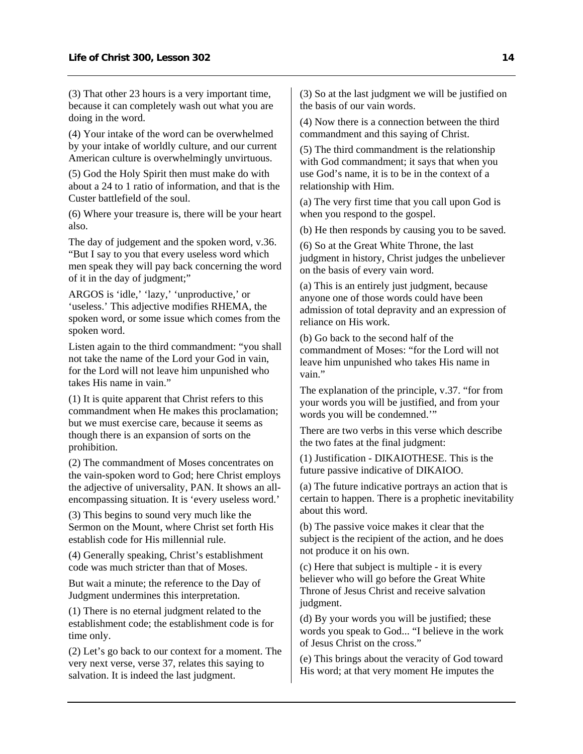(3) That other 23 hours is a very important time, because it can completely wash out what you are doing in the word.

(4) Your intake of the word can be overwhelmed by your intake of worldly culture, and our current American culture is overwhelmingly unvirtuous.

(5) God the Holy Spirit then must make do with about a 24 to 1 ratio of information, and that is the Custer battlefield of the soul.

(6) Where your treasure is, there will be your heart also.

The day of judgement and the spoken word, v.36. "But I say to you that every useless word which men speak they will pay back concerning the word of it in the day of judgment;"

ARGOS is 'idle,' 'lazy,' 'unproductive,' or 'useless.' This adjective modifies RHEMA, the spoken word, or some issue which comes from the spoken word.

Listen again to the third commandment: "you shall not take the name of the Lord your God in vain, for the Lord will not leave him unpunished who takes His name in vain."

(1) It is quite apparent that Christ refers to this commandment when He makes this proclamation; but we must exercise care, because it seems as though there is an expansion of sorts on the prohibition.

(2) The commandment of Moses concentrates on the vain-spoken word to God; here Christ employs the adjective of universality, PAN. It shows an allencompassing situation. It is 'every useless word.'

(3) This begins to sound very much like the Sermon on the Mount, where Christ set forth His establish code for His millennial rule.

(4) Generally speaking, Christ's establishment code was much stricter than that of Moses.

But wait a minute; the reference to the Day of Judgment undermines this interpretation.

(1) There is no eternal judgment related to the establishment code; the establishment code is for time only.

(2) Let's go back to our context for a moment. The very next verse, verse 37, relates this saying to salvation. It is indeed the last judgment.

(3) So at the last judgment we will be justified on the basis of our vain words.

(4) Now there is a connection between the third commandment and this saying of Christ.

(5) The third commandment is the relationship with God commandment; it says that when you use God's name, it is to be in the context of a relationship with Him.

(a) The very first time that you call upon God is when you respond to the gospel.

(b) He then responds by causing you to be saved.

(6) So at the Great White Throne, the last judgment in history, Christ judges the unbeliever on the basis of every vain word.

(a) This is an entirely just judgment, because anyone one of those words could have been admission of total depravity and an expression of reliance on His work.

(b) Go back to the second half of the commandment of Moses: "for the Lord will not leave him unpunished who takes His name in vain."

The explanation of the principle, v.37. "for from your words you will be justified, and from your words you will be condemned.'"

There are two verbs in this verse which describe the two fates at the final judgment:

(1) Justification - DIKAIOTHESE. This is the future passive indicative of DIKAIOO.

(a) The future indicative portrays an action that is certain to happen. There is a prophetic inevitability about this word.

(b) The passive voice makes it clear that the subject is the recipient of the action, and he does not produce it on his own.

(c) Here that subject is multiple - it is every believer who will go before the Great White Throne of Jesus Christ and receive salvation judgment.

(d) By your words you will be justified; these words you speak to God... "I believe in the work of Jesus Christ on the cross."

(e) This brings about the veracity of God toward His word; at that very moment He imputes the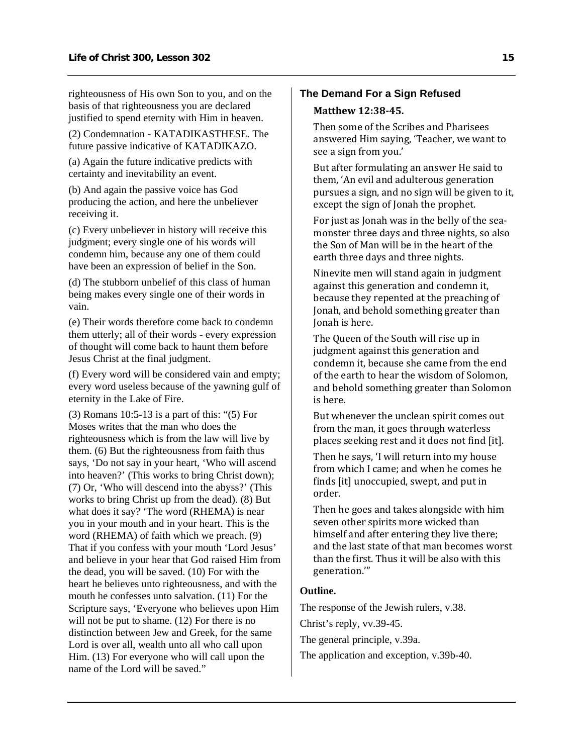righteousness of His own Son to you, and on the basis of that righteousness you are declared justified to spend eternity with Him in heaven.

(2) Condemnation - KATADIKASTHESE. The future passive indicative of KATADIKAZO.

(a) Again the future indicative predicts with certainty and inevitability an event.

(b) And again the passive voice has God producing the action, and here the unbeliever receiving it.

(c) Every unbeliever in history will receive this judgment; every single one of his words will condemn him, because any one of them could have been an expression of belief in the Son.

(d) The stubborn unbelief of this class of human being makes every single one of their words in vain.

(e) Their words therefore come back to condemn them utterly; all of their words - every expression of thought will come back to haunt them before Jesus Christ at the final judgment.

(f) Every word will be considered vain and empty; every word useless because of the yawning gulf of eternity in the Lake of Fire.

(3) Romans 10:5-13 is a part of this: "(5) For Moses writes that the man who does the righteousness which is from the law will live by them. (6) But the righteousness from faith thus says, 'Do not say in your heart, 'Who will ascend into heaven?' (This works to bring Christ down); (7) Or, 'Who will descend into the abyss?' (This works to bring Christ up from the dead). (8) But what does it say? 'The word (RHEMA) is near you in your mouth and in your heart. This is the word (RHEMA) of faith which we preach. (9) That if you confess with your mouth 'Lord Jesus' and believe in your hear that God raised Him from the dead, you will be saved. (10) For with the heart he believes unto righteousness, and with the mouth he confesses unto salvation. (11) For the Scripture says, 'Everyone who believes upon Him will not be put to shame. (12) For there is no distinction between Jew and Greek, for the same Lord is over all, wealth unto all who call upon Him. (13) For everyone who will call upon the name of the Lord will be saved."

## **The Demand For a Sign Refused Matthew 12:3845.**

Then some of the Scribes and Pharisees answered Him saying, 'Teacher, we want to see a sign from you.'

But after formulating an answer He said to them, 'An evil and adulterous generation pursues a sign, and no sign will be given to it, except the sign of Jonah the prophet.

For just as Jonah was in the belly of the sea‐ monster three days and three nights, so also the Son of Man will be in the heart of the earth three days and three nights.

Ninevite men will stand again in judgment against this generation and condemn it, because they repented at the preaching of Jonah, and behold something greater than Jonah is here.

The Queen of the South will rise up in judgment against this generation and condemn it, because she came from the end of the earth to hear the wisdom of Solomon, and behold something greater than Solomon is here.

But whenever the unclean spirit comes out from the man, it goes through waterless places seeking rest and it does not find [it].

Then he says, 'I will return into my house from which I came; and when he comes he finds [it] unoccupied, swept, and put in order.

Then he goes and takes alongside with him seven other spirits more wicked than himself and after entering they live there; and the last state of that man becomes worst than the first. Thus it will be also with this generation.'"

### **Outline.**

The response of the Jewish rulers, v.38.

Christ's reply, vv.39-45.

The general principle, v.39a.

The application and exception, v.39b-40.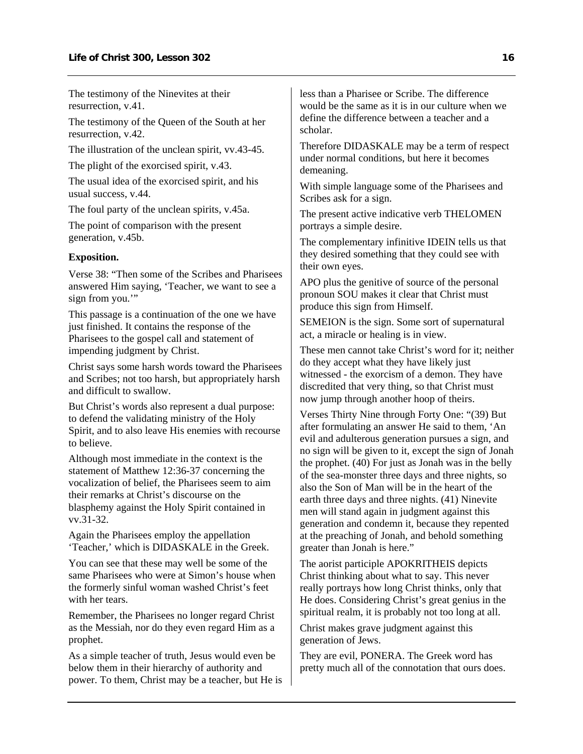The testimony of the Ninevites at their resurrection, v.41.

The testimony of the Queen of the South at her resurrection, v.42.

The illustration of the unclean spirit, vv.43-45.

The plight of the exorcised spirit, v.43.

The usual idea of the exorcised spirit, and his usual success, v.44.

The foul party of the unclean spirits, v.45a.

The point of comparison with the present generation, v.45b.

### **Exposition.**

Verse 38: "Then some of the Scribes and Pharisees answered Him saying, 'Teacher, we want to see a sign from you."

This passage is a continuation of the one we have just finished. It contains the response of the Pharisees to the gospel call and statement of impending judgment by Christ.

Christ says some harsh words toward the Pharisees and Scribes; not too harsh, but appropriately harsh and difficult to swallow.

But Christ's words also represent a dual purpose: to defend the validating ministry of the Holy Spirit, and to also leave His enemies with recourse to believe.

Although most immediate in the context is the statement of Matthew 12:36-37 concerning the vocalization of belief, the Pharisees seem to aim their remarks at Christ's discourse on the blasphemy against the Holy Spirit contained in vv.31-32.

Again the Pharisees employ the appellation 'Teacher,' which is DIDASKALE in the Greek.

You can see that these may well be some of the same Pharisees who were at Simon's house when the formerly sinful woman washed Christ's feet with her tears.

Remember, the Pharisees no longer regard Christ as the Messiah, nor do they even regard Him as a prophet.

As a simple teacher of truth, Jesus would even be below them in their hierarchy of authority and power. To them, Christ may be a teacher, but He is less than a Pharisee or Scribe. The difference would be the same as it is in our culture when we define the difference between a teacher and a scholar.

Therefore DIDASKALE may be a term of respect under normal conditions, but here it becomes demeaning.

With simple language some of the Pharisees and Scribes ask for a sign.

The present active indicative verb THELOMEN portrays a simple desire.

The complementary infinitive IDEIN tells us that they desired something that they could see with their own eyes.

APO plus the genitive of source of the personal pronoun SOU makes it clear that Christ must produce this sign from Himself.

SEMEION is the sign. Some sort of supernatural act, a miracle or healing is in view.

These men cannot take Christ's word for it; neither do they accept what they have likely just witnessed - the exorcism of a demon. They have discredited that very thing, so that Christ must now jump through another hoop of theirs.

Verses Thirty Nine through Forty One: "(39) But after formulating an answer He said to them, 'An evil and adulterous generation pursues a sign, and no sign will be given to it, except the sign of Jonah the prophet. (40) For just as Jonah was in the belly of the sea-monster three days and three nights, so also the Son of Man will be in the heart of the earth three days and three nights. (41) Ninevite men will stand again in judgment against this generation and condemn it, because they repented at the preaching of Jonah, and behold something greater than Jonah is here."

The aorist participle APOKRITHEIS depicts Christ thinking about what to say. This never really portrays how long Christ thinks, only that He does. Considering Christ's great genius in the spiritual realm, it is probably not too long at all.

Christ makes grave judgment against this generation of Jews.

They are evil, PONERA. The Greek word has pretty much all of the connotation that ours does.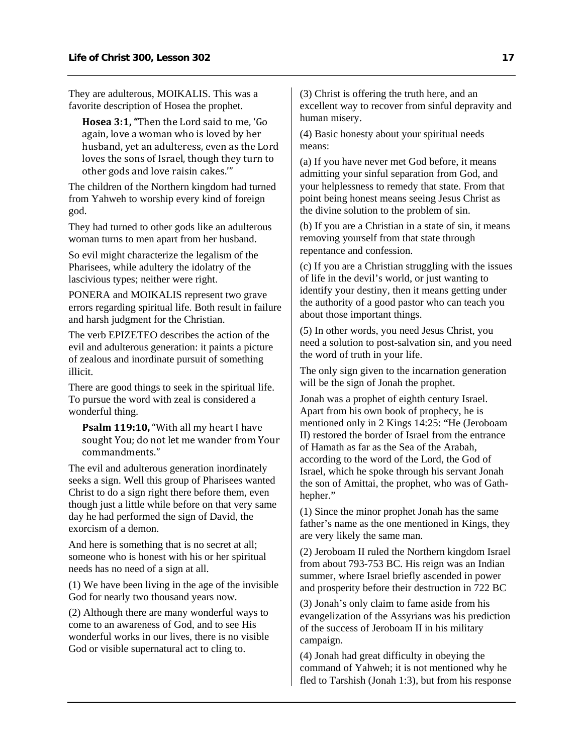They are adulterous, MOIKALIS. This was a favorite description of Hosea the prophet.

**Hosea 3:1, "**Then the Lord said to me, 'Go again, love a woman who is loved by her husband, yet an adulteress, even as the Lord loves the sons of Israel, though they turn to other gods and love raisin cakes.'"

The children of the Northern kingdom had turned from Yahweh to worship every kind of foreign god.

They had turned to other gods like an adulterous woman turns to men apart from her husband.

So evil might characterize the legalism of the Pharisees, while adultery the idolatry of the lascivious types; neither were right.

PONERA and MOIKALIS represent two grave errors regarding spiritual life. Both result in failure and harsh judgment for the Christian.

The verb EPIZETEO describes the action of the evil and adulterous generation: it paints a picture of zealous and inordinate pursuit of something illicit.

There are good things to seek in the spiritual life. To pursue the word with zeal is considered a wonderful thing.

**Psalm 119:10,** "With all my heart I have sought You; do not let me wander from Your commandments."

The evil and adulterous generation inordinately seeks a sign. Well this group of Pharisees wanted Christ to do a sign right there before them, even though just a little while before on that very same day he had performed the sign of David, the exorcism of a demon.

And here is something that is no secret at all; someone who is honest with his or her spiritual needs has no need of a sign at all.

(1) We have been living in the age of the invisible God for nearly two thousand years now.

(2) Although there are many wonderful ways to come to an awareness of God, and to see His wonderful works in our lives, there is no visible God or visible supernatural act to cling to.

(3) Christ is offering the truth here, and an excellent way to recover from sinful depravity and human misery.

(4) Basic honesty about your spiritual needs means:

(a) If you have never met God before, it means admitting your sinful separation from God, and your helplessness to remedy that state. From that point being honest means seeing Jesus Christ as the divine solution to the problem of sin.

(b) If you are a Christian in a state of sin, it means removing yourself from that state through repentance and confession.

(c) If you are a Christian struggling with the issues of life in the devil's world, or just wanting to identify your destiny, then it means getting under the authority of a good pastor who can teach you about those important things.

(5) In other words, you need Jesus Christ, you need a solution to post-salvation sin, and you need the word of truth in your life.

The only sign given to the incarnation generation will be the sign of Jonah the prophet.

Jonah was a prophet of eighth century Israel. Apart from his own book of prophecy, he is mentioned only in 2 Kings 14:25: "He (Jeroboam II) restored the border of Israel from the entrance of Hamath as far as the Sea of the Arabah, according to the word of the Lord, the God of Israel, which he spoke through his servant Jonah the son of Amittai, the prophet, who was of Gathhepher."

(1) Since the minor prophet Jonah has the same father's name as the one mentioned in Kings, they are very likely the same man.

(2) Jeroboam II ruled the Northern kingdom Israel from about 793-753 BC. His reign was an Indian summer, where Israel briefly ascended in power and prosperity before their destruction in 722 BC

(3) Jonah's only claim to fame aside from his evangelization of the Assyrians was his prediction of the success of Jeroboam II in his military campaign.

(4) Jonah had great difficulty in obeying the command of Yahweh; it is not mentioned why he fled to Tarshish (Jonah 1:3), but from his response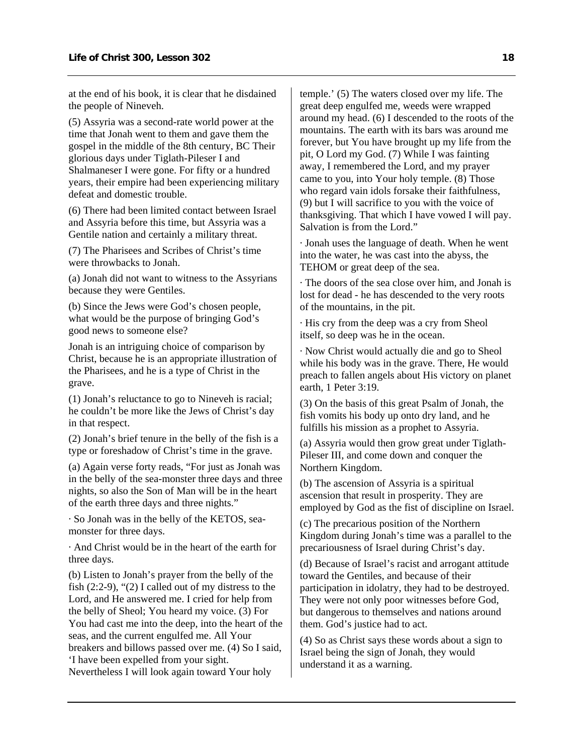at the end of his book, it is clear that he disdained the people of Nineveh.

(5) Assyria was a second-rate world power at the time that Jonah went to them and gave them the gospel in the middle of the 8th century, BC Their glorious days under Tiglath-Pileser I and Shalmaneser I were gone. For fifty or a hundred years, their empire had been experiencing military defeat and domestic trouble.

(6) There had been limited contact between Israel and Assyria before this time, but Assyria was a Gentile nation and certainly a military threat.

(7) The Pharisees and Scribes of Christ's time were throwbacks to Jonah.

(a) Jonah did not want to witness to the Assyrians because they were Gentiles.

(b) Since the Jews were God's chosen people, what would be the purpose of bringing God's good news to someone else?

Jonah is an intriguing choice of comparison by Christ, because he is an appropriate illustration of the Pharisees, and he is a type of Christ in the grave.

(1) Jonah's reluctance to go to Nineveh is racial; he couldn't be more like the Jews of Christ's day in that respect.

(2) Jonah's brief tenure in the belly of the fish is a type or foreshadow of Christ's time in the grave.

(a) Again verse forty reads, "For just as Jonah was in the belly of the sea-monster three days and three nights, so also the Son of Man will be in the heart of the earth three days and three nights."

· So Jonah was in the belly of the KETOS, seamonster for three days.

· And Christ would be in the heart of the earth for three days.

(b) Listen to Jonah's prayer from the belly of the fish  $(2:2-9)$ , " $(2)$  I called out of my distress to the Lord, and He answered me. I cried for help from the belly of Sheol; You heard my voice. (3) For You had cast me into the deep, into the heart of the seas, and the current engulfed me. All Your breakers and billows passed over me. (4) So I said, 'I have been expelled from your sight. Nevertheless I will look again toward Your holy

temple.' (5) The waters closed over my life. The great deep engulfed me, weeds were wrapped around my head. (6) I descended to the roots of the mountains. The earth with its bars was around me forever, but You have brought up my life from the pit, O Lord my God. (7) While I was fainting away, I remembered the Lord, and my prayer came to you, into Your holy temple. (8) Those who regard vain idols forsake their faithfulness, (9) but I will sacrifice to you with the voice of thanksgiving. That which I have vowed I will pay. Salvation is from the Lord."

· Jonah uses the language of death. When he went into the water, he was cast into the abyss, the TEHOM or great deep of the sea.

· The doors of the sea close over him, and Jonah is lost for dead - he has descended to the very roots of the mountains, in the pit.

· His cry from the deep was a cry from Sheol itself, so deep was he in the ocean.

· Now Christ would actually die and go to Sheol while his body was in the grave. There, He would preach to fallen angels about His victory on planet earth, 1 Peter 3:19.

(3) On the basis of this great Psalm of Jonah, the fish vomits his body up onto dry land, and he fulfills his mission as a prophet to Assyria.

(a) Assyria would then grow great under Tiglath-Pileser III, and come down and conquer the Northern Kingdom.

(b) The ascension of Assyria is a spiritual ascension that result in prosperity. They are employed by God as the fist of discipline on Israel.

(c) The precarious position of the Northern Kingdom during Jonah's time was a parallel to the precariousness of Israel during Christ's day.

(d) Because of Israel's racist and arrogant attitude toward the Gentiles, and because of their participation in idolatry, they had to be destroyed. They were not only poor witnesses before God, but dangerous to themselves and nations around them. God's justice had to act.

(4) So as Christ says these words about a sign to Israel being the sign of Jonah, they would understand it as a warning.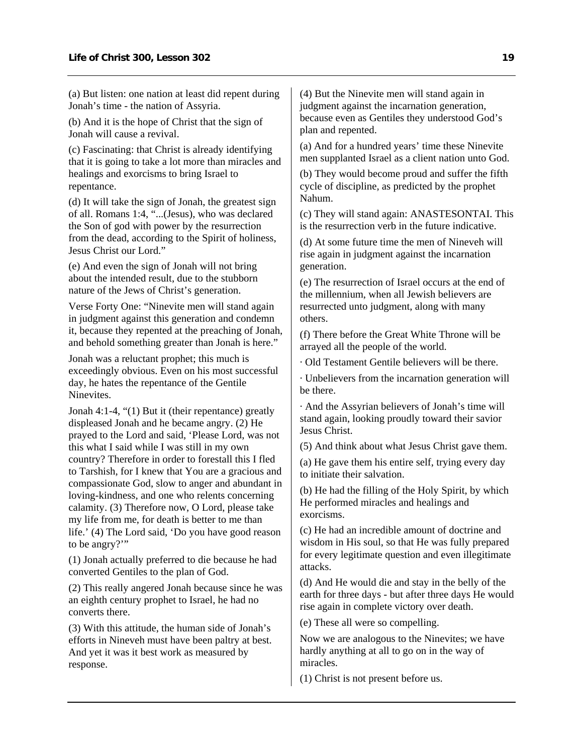(a) But listen: one nation at least did repent during Jonah's time - the nation of Assyria.

(b) And it is the hope of Christ that the sign of Jonah will cause a revival.

(c) Fascinating: that Christ is already identifying that it is going to take a lot more than miracles and healings and exorcisms to bring Israel to repentance.

(d) It will take the sign of Jonah, the greatest sign of all. Romans 1:4, "...(Jesus), who was declared the Son of god with power by the resurrection from the dead, according to the Spirit of holiness, Jesus Christ our Lord."

(e) And even the sign of Jonah will not bring about the intended result, due to the stubborn nature of the Jews of Christ's generation.

Verse Forty One: "Ninevite men will stand again in judgment against this generation and condemn it, because they repented at the preaching of Jonah, and behold something greater than Jonah is here."

Jonah was a reluctant prophet; this much is exceedingly obvious. Even on his most successful day, he hates the repentance of the Gentile Ninevites.

Jonah 4:1-4, "(1) But it (their repentance) greatly displeased Jonah and he became angry. (2) He prayed to the Lord and said, 'Please Lord, was not this what I said while I was still in my own country? Therefore in order to forestall this I fled to Tarshish, for I knew that You are a gracious and compassionate God, slow to anger and abundant in loving-kindness, and one who relents concerning calamity. (3) Therefore now, O Lord, please take my life from me, for death is better to me than life.' (4) The Lord said, 'Do you have good reason to be angry?'"

(1) Jonah actually preferred to die because he had converted Gentiles to the plan of God.

(2) This really angered Jonah because since he was an eighth century prophet to Israel, he had no converts there.

(3) With this attitude, the human side of Jonah's efforts in Nineveh must have been paltry at best. And yet it was it best work as measured by response.

(4) But the Ninevite men will stand again in judgment against the incarnation generation, because even as Gentiles they understood God's plan and repented.

(a) And for a hundred years' time these Ninevite men supplanted Israel as a client nation unto God.

(b) They would become proud and suffer the fifth cycle of discipline, as predicted by the prophet Nahum.

(c) They will stand again: ANASTESONTAI. This is the resurrection verb in the future indicative.

(d) At some future time the men of Nineveh will rise again in judgment against the incarnation generation.

(e) The resurrection of Israel occurs at the end of the millennium, when all Jewish believers are resurrected unto judgment, along with many others.

(f) There before the Great White Throne will be arrayed all the people of the world.

· Old Testament Gentile believers will be there.

· Unbelievers from the incarnation generation will be there.

· And the Assyrian believers of Jonah's time will stand again, looking proudly toward their savior Jesus Christ.

(5) And think about what Jesus Christ gave them.

(a) He gave them his entire self, trying every day to initiate their salvation.

(b) He had the filling of the Holy Spirit, by which He performed miracles and healings and exorcisms.

(c) He had an incredible amount of doctrine and wisdom in His soul, so that He was fully prepared for every legitimate question and even illegitimate attacks.

(d) And He would die and stay in the belly of the earth for three days - but after three days He would rise again in complete victory over death.

(e) These all were so compelling.

Now we are analogous to the Ninevites; we have hardly anything at all to go on in the way of miracles.

(1) Christ is not present before us.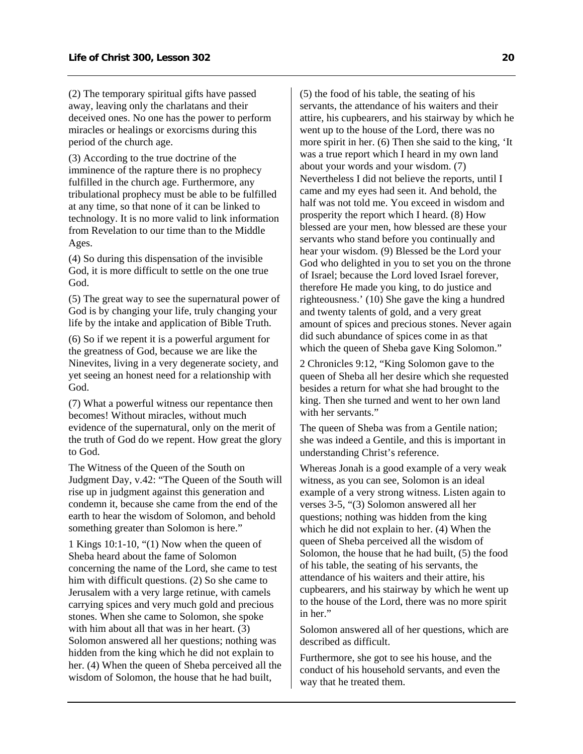(2) The temporary spiritual gifts have passed away, leaving only the charlatans and their deceived ones. No one has the power to perform miracles or healings or exorcisms during this period of the church age.

(3) According to the true doctrine of the imminence of the rapture there is no prophecy fulfilled in the church age. Furthermore, any tribulational prophecy must be able to be fulfilled at any time, so that none of it can be linked to technology. It is no more valid to link information from Revelation to our time than to the Middle Ages.

(4) So during this dispensation of the invisible God, it is more difficult to settle on the one true God.

(5) The great way to see the supernatural power of God is by changing your life, truly changing your life by the intake and application of Bible Truth.

(6) So if we repent it is a powerful argument for the greatness of God, because we are like the Ninevites, living in a very degenerate society, and yet seeing an honest need for a relationship with God.

(7) What a powerful witness our repentance then becomes! Without miracles, without much evidence of the supernatural, only on the merit of the truth of God do we repent. How great the glory to God.

The Witness of the Queen of the South on Judgment Day, v.42: "The Queen of the South will rise up in judgment against this generation and condemn it, because she came from the end of the earth to hear the wisdom of Solomon, and behold something greater than Solomon is here."

1 Kings 10:1-10, "(1) Now when the queen of Sheba heard about the fame of Solomon concerning the name of the Lord, she came to test him with difficult questions. (2) So she came to Jerusalem with a very large retinue, with camels carrying spices and very much gold and precious stones. When she came to Solomon, she spoke with him about all that was in her heart. (3) Solomon answered all her questions; nothing was hidden from the king which he did not explain to her. (4) When the queen of Sheba perceived all the wisdom of Solomon, the house that he had built,

(5) the food of his table, the seating of his servants, the attendance of his waiters and their attire, his cupbearers, and his stairway by which he went up to the house of the Lord, there was no more spirit in her. (6) Then she said to the king, 'It was a true report which I heard in my own land about your words and your wisdom. (7) Nevertheless I did not believe the reports, until I came and my eyes had seen it. And behold, the half was not told me. You exceed in wisdom and prosperity the report which I heard. (8) How blessed are your men, how blessed are these your servants who stand before you continually and hear your wisdom. (9) Blessed be the Lord your God who delighted in you to set you on the throne of Israel; because the Lord loved Israel forever, therefore He made you king, to do justice and righteousness.' (10) She gave the king a hundred and twenty talents of gold, and a very great amount of spices and precious stones. Never again did such abundance of spices come in as that which the queen of Sheba gave King Solomon."

2 Chronicles 9:12, "King Solomon gave to the queen of Sheba all her desire which she requested besides a return for what she had brought to the king. Then she turned and went to her own land with her servants."

The queen of Sheba was from a Gentile nation; she was indeed a Gentile, and this is important in understanding Christ's reference.

Whereas Jonah is a good example of a very weak witness, as you can see, Solomon is an ideal example of a very strong witness. Listen again to verses 3-5, "(3) Solomon answered all her questions; nothing was hidden from the king which he did not explain to her. (4) When the queen of Sheba perceived all the wisdom of Solomon, the house that he had built, (5) the food of his table, the seating of his servants, the attendance of his waiters and their attire, his cupbearers, and his stairway by which he went up to the house of the Lord, there was no more spirit in her."

Solomon answered all of her questions, which are described as difficult.

Furthermore, she got to see his house, and the conduct of his household servants, and even the way that he treated them.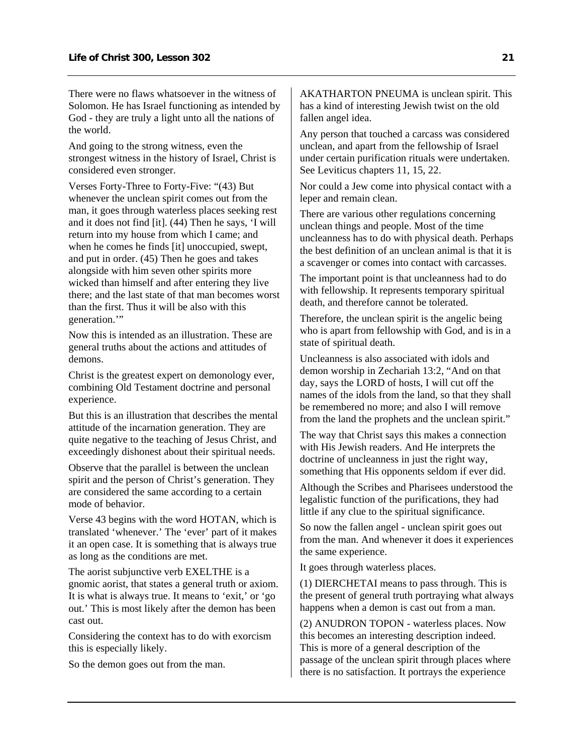There were no flaws whatsoever in the witness of Solomon. He has Israel functioning as intended by God - they are truly a light unto all the nations of the world.

And going to the strong witness, even the strongest witness in the history of Israel, Christ is considered even stronger.

Verses Forty-Three to Forty-Five: "(43) But whenever the unclean spirit comes out from the man, it goes through waterless places seeking rest and it does not find [it]. (44) Then he says, 'I will return into my house from which I came; and when he comes he finds [it] unoccupied, swept, and put in order. (45) Then he goes and takes alongside with him seven other spirits more wicked than himself and after entering they live there; and the last state of that man becomes worst than the first. Thus it will be also with this generation."

Now this is intended as an illustration. These are general truths about the actions and attitudes of demons.

Christ is the greatest expert on demonology ever, combining Old Testament doctrine and personal experience.

But this is an illustration that describes the mental attitude of the incarnation generation. They are quite negative to the teaching of Jesus Christ, and exceedingly dishonest about their spiritual needs.

Observe that the parallel is between the unclean spirit and the person of Christ's generation. They are considered the same according to a certain mode of behavior.

Verse 43 begins with the word HOTAN, which is translated 'whenever.' The 'ever' part of it makes it an open case. It is something that is always true as long as the conditions are met.

The aorist subjunctive verb EXELTHE is a gnomic aorist, that states a general truth or axiom. It is what is always true. It means to 'exit,' or 'go out.' This is most likely after the demon has been cast out.

Considering the context has to do with exorcism this is especially likely.

So the demon goes out from the man.

AKATHARTON PNEUMA is unclean spirit. This has a kind of interesting Jewish twist on the old fallen angel idea.

Any person that touched a carcass was considered unclean, and apart from the fellowship of Israel under certain purification rituals were undertaken. See Leviticus chapters 11, 15, 22.

Nor could a Jew come into physical contact with a leper and remain clean.

There are various other regulations concerning unclean things and people. Most of the time uncleanness has to do with physical death. Perhaps the best definition of an unclean animal is that it is a scavenger or comes into contact with carcasses.

The important point is that uncleanness had to do with fellowship. It represents temporary spiritual death, and therefore cannot be tolerated.

Therefore, the unclean spirit is the angelic being who is apart from fellowship with God, and is in a state of spiritual death.

Uncleanness is also associated with idols and demon worship in Zechariah 13:2, "And on that day, says the LORD of hosts, I will cut off the names of the idols from the land, so that they shall be remembered no more; and also I will remove from the land the prophets and the unclean spirit."

The way that Christ says this makes a connection with His Jewish readers. And He interprets the doctrine of uncleanness in just the right way, something that His opponents seldom if ever did.

Although the Scribes and Pharisees understood the legalistic function of the purifications, they had little if any clue to the spiritual significance.

So now the fallen angel - unclean spirit goes out from the man. And whenever it does it experiences the same experience.

It goes through waterless places.

(1) DIERCHETAI means to pass through. This is the present of general truth portraying what always happens when a demon is cast out from a man.

(2) ANUDRON TOPON - waterless places. Now this becomes an interesting description indeed. This is more of a general description of the passage of the unclean spirit through places where there is no satisfaction. It portrays the experience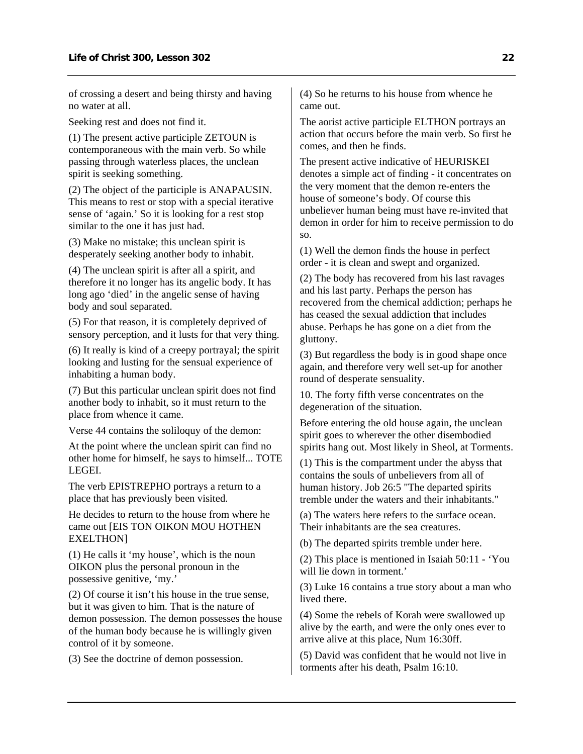of crossing a desert and being thirsty and having no water at all.

Seeking rest and does not find it.

(1) The present active participle ZETOUN is contemporaneous with the main verb. So while passing through waterless places, the unclean spirit is seeking something.

(2) The object of the participle is ANAPAUSIN. This means to rest or stop with a special iterative sense of 'again.' So it is looking for a rest stop similar to the one it has just had.

(3) Make no mistake; this unclean spirit is desperately seeking another body to inhabit.

(4) The unclean spirit is after all a spirit, and therefore it no longer has its angelic body. It has long ago 'died' in the angelic sense of having body and soul separated.

(5) For that reason, it is completely deprived of sensory perception, and it lusts for that very thing.

(6) It really is kind of a creepy portrayal; the spirit looking and lusting for the sensual experience of inhabiting a human body.

(7) But this particular unclean spirit does not find another body to inhabit, so it must return to the place from whence it came.

Verse 44 contains the soliloquy of the demon:

At the point where the unclean spirit can find no other home for himself, he says to himself... TOTE LEGEI.

The verb EPISTREPHO portrays a return to a place that has previously been visited.

He decides to return to the house from where he came out [EIS TON OIKON MOU HOTHEN EXELTHON]

(1) He calls it 'my house', which is the noun OIKON plus the personal pronoun in the possessive genitive, 'my.'

(2) Of course it isn't his house in the true sense, but it was given to him. That is the nature of demon possession. The demon possesses the house of the human body because he is willingly given control of it by someone.

(3) See the doctrine of demon possession.

(4) So he returns to his house from whence he came out.

The aorist active participle ELTHON portrays an action that occurs before the main verb. So first he comes, and then he finds.

The present active indicative of HEURISKEI denotes a simple act of finding - it concentrates on the very moment that the demon re-enters the house of someone's body. Of course this unbeliever human being must have re-invited that demon in order for him to receive permission to do so.

(1) Well the demon finds the house in perfect order - it is clean and swept and organized.

(2) The body has recovered from his last ravages and his last party. Perhaps the person has recovered from the chemical addiction; perhaps he has ceased the sexual addiction that includes abuse. Perhaps he has gone on a diet from the gluttony.

(3) But regardless the body is in good shape once again, and therefore very well set-up for another round of desperate sensuality.

10. The forty fifth verse concentrates on the degeneration of the situation.

Before entering the old house again, the unclean spirit goes to wherever the other disembodied spirits hang out. Most likely in Sheol, at Torments.

(1) This is the compartment under the abyss that contains the souls of unbelievers from all of human history. Job 26:5 "The departed spirits tremble under the waters and their inhabitants."

(a) The waters here refers to the surface ocean. Their inhabitants are the sea creatures.

(b) The departed spirits tremble under here.

(2) This place is mentioned in Isaiah 50:11 - 'You will lie down in torment.'

(3) Luke 16 contains a true story about a man who lived there.

(4) Some the rebels of Korah were swallowed up alive by the earth, and were the only ones ever to arrive alive at this place, Num 16:30ff.

(5) David was confident that he would not live in torments after his death, Psalm 16:10.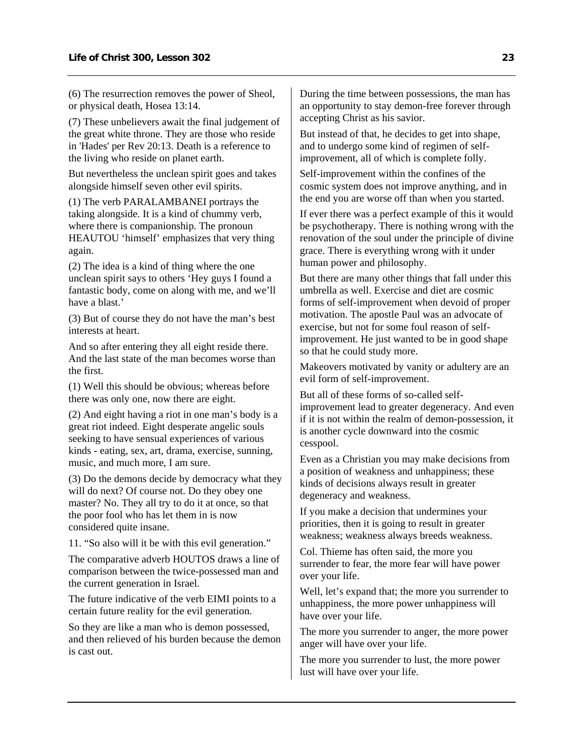(6) The resurrection removes the power of Sheol, or physical death, Hosea 13:14.

(7) These unbelievers await the final judgement of the great white throne. They are those who reside in 'Hades' per Rev 20:13. Death is a reference to the living who reside on planet earth.

But nevertheless the unclean spirit goes and takes alongside himself seven other evil spirits.

(1) The verb PARALAMBANEI portrays the taking alongside. It is a kind of chummy verb, where there is companionship. The pronoun HEAUTOU 'himself' emphasizes that very thing again.

(2) The idea is a kind of thing where the one unclean spirit says to others 'Hey guys I found a fantastic body, come on along with me, and we'll have a blast.'

(3) But of course they do not have the man's best interests at heart.

And so after entering they all eight reside there. And the last state of the man becomes worse than the first.

(1) Well this should be obvious; whereas before there was only one, now there are eight.

(2) And eight having a riot in one man's body is a great riot indeed. Eight desperate angelic souls seeking to have sensual experiences of various kinds - eating, sex, art, drama, exercise, sunning, music, and much more. I am sure.

(3) Do the demons decide by democracy what they will do next? Of course not. Do they obey one master? No. They all try to do it at once, so that the poor fool who has let them in is now considered quite insane.

11. "So also will it be with this evil generation."

The comparative adverb HOUTOS draws a line of comparison between the twice-possessed man and the current generation in Israel.

The future indicative of the verb EIMI points to a certain future reality for the evil generation.

So they are like a man who is demon possessed, and then relieved of his burden because the demon is cast out.

During the time between possessions, the man has an opportunity to stay demon-free forever through accepting Christ as his savior.

But instead of that, he decides to get into shape, and to undergo some kind of regimen of selfimprovement, all of which is complete folly.

Self-improvement within the confines of the cosmic system does not improve anything, and in the end you are worse off than when you started.

If ever there was a perfect example of this it would be psychotherapy. There is nothing wrong with the renovation of the soul under the principle of divine grace. There is everything wrong with it under human power and philosophy.

But there are many other things that fall under this umbrella as well. Exercise and diet are cosmic forms of self-improvement when devoid of proper motivation. The apostle Paul was an advocate of exercise, but not for some foul reason of selfimprovement. He just wanted to be in good shape so that he could study more.

Makeovers motivated by vanity or adultery are an evil form of self-improvement.

But all of these forms of so-called selfimprovement lead to greater degeneracy. And even if it is not within the realm of demon-possession, it is another cycle downward into the cosmic cesspool.

Even as a Christian you may make decisions from a position of weakness and unhappiness; these kinds of decisions always result in greater degeneracy and weakness.

If you make a decision that undermines your priorities, then it is going to result in greater weakness; weakness always breeds weakness.

Col. Thieme has often said, the more you surrender to fear, the more fear will have power over your life.

Well, let's expand that; the more you surrender to unhappiness, the more power unhappiness will have over your life.

The more you surrender to anger, the more power anger will have over your life.

The more you surrender to lust, the more power lust will have over your life.